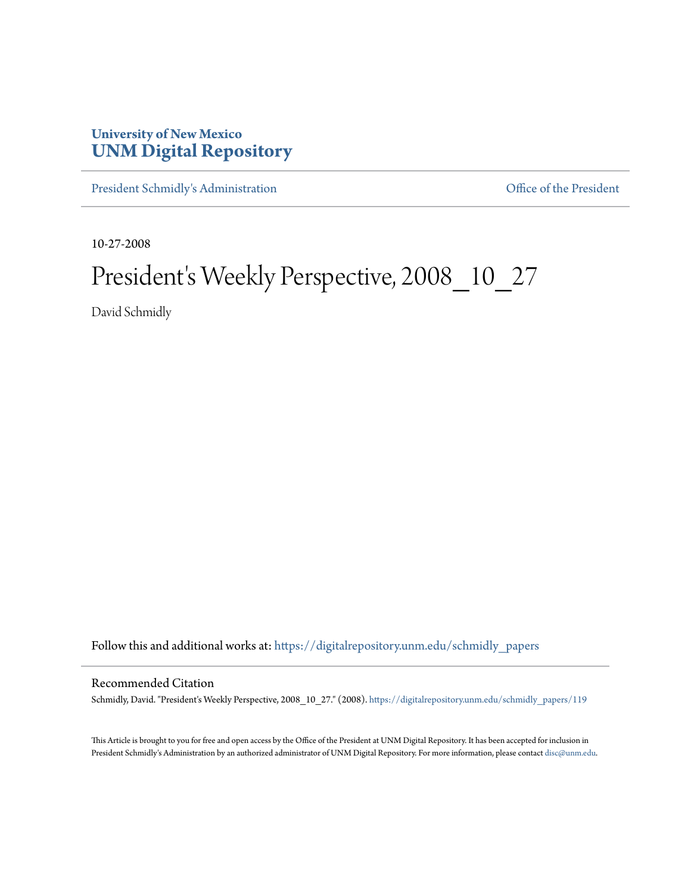# **University of New Mexico [UNM Digital Repository](https://digitalrepository.unm.edu?utm_source=digitalrepository.unm.edu%2Fschmidly_papers%2F119&utm_medium=PDF&utm_campaign=PDFCoverPages)**

[President Schmidly's Administration](https://digitalrepository.unm.edu/schmidly_papers?utm_source=digitalrepository.unm.edu%2Fschmidly_papers%2F119&utm_medium=PDF&utm_campaign=PDFCoverPages) [Office of the President](https://digitalrepository.unm.edu/ofc_president?utm_source=digitalrepository.unm.edu%2Fschmidly_papers%2F119&utm_medium=PDF&utm_campaign=PDFCoverPages)

10-27-2008

# President's Weekly Perspective, 2008\_10\_27

David Schmidly

Follow this and additional works at: [https://digitalrepository.unm.edu/schmidly\\_papers](https://digitalrepository.unm.edu/schmidly_papers?utm_source=digitalrepository.unm.edu%2Fschmidly_papers%2F119&utm_medium=PDF&utm_campaign=PDFCoverPages)

#### Recommended Citation

Schmidly, David. "President's Weekly Perspective, 2008\_10\_27." (2008). [https://digitalrepository.unm.edu/schmidly\\_papers/119](https://digitalrepository.unm.edu/schmidly_papers/119?utm_source=digitalrepository.unm.edu%2Fschmidly_papers%2F119&utm_medium=PDF&utm_campaign=PDFCoverPages)

This Article is brought to you for free and open access by the Office of the President at UNM Digital Repository. It has been accepted for inclusion in President Schmidly's Administration by an authorized administrator of UNM Digital Repository. For more information, please contact [disc@unm.edu](mailto:disc@unm.edu).